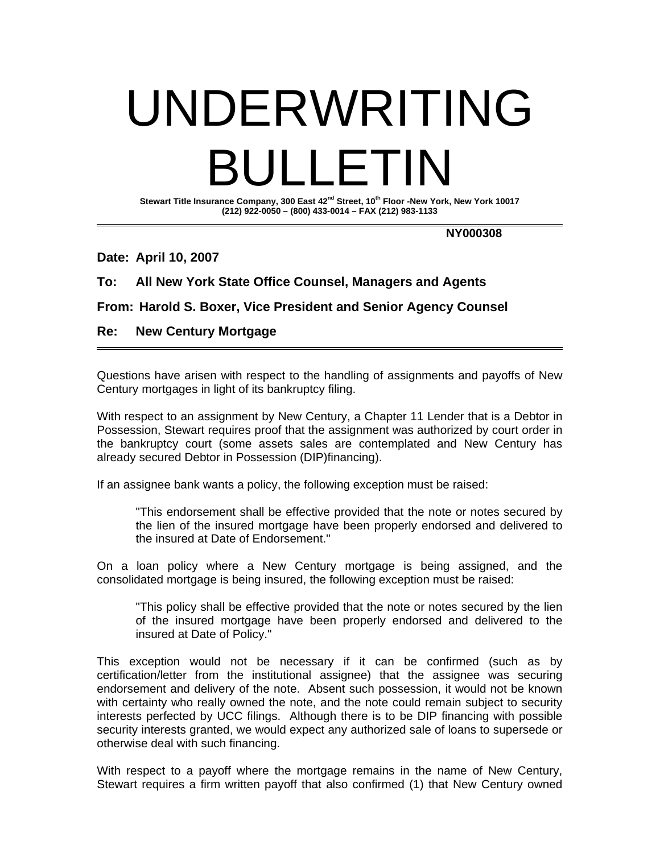## UNDERWRITING BULLETIN

**Stewart Title Insurance Company, 300 East 42nd Street, 10th Floor -New York, New York 10017 (212) 922-0050 – (800) 433-0014 – FAX (212) 983-1133** 

 **NY000308** 

**Date: April 10, 2007** 

## **To: All New York State Office Counsel, Managers and Agents**

**From: Harold S. Boxer, Vice President and Senior Agency Counsel** 

## **Re: New Century Mortgage**

Questions have arisen with respect to the handling of assignments and payoffs of New Century mortgages in light of its bankruptcy filing.

With respect to an assignment by New Century, a Chapter 11 Lender that is a Debtor in Possession, Stewart requires proof that the assignment was authorized by court order in the bankruptcy court (some assets sales are contemplated and New Century has already secured Debtor in Possession (DIP)financing).

If an assignee bank wants a policy, the following exception must be raised:

"This endorsement shall be effective provided that the note or notes secured by the lien of the insured mortgage have been properly endorsed and delivered to the insured at Date of Endorsement."

On a loan policy where a New Century mortgage is being assigned, and the consolidated mortgage is being insured, the following exception must be raised:

 "This policy shall be effective provided that the note or notes secured by the lien of the insured mortgage have been properly endorsed and delivered to the insured at Date of Policy."

This exception would not be necessary if it can be confirmed (such as by certification/letter from the institutional assignee) that the assignee was securing endorsement and delivery of the note. Absent such possession, it would not be known with certainty who really owned the note, and the note could remain subject to security interests perfected by UCC filings. Although there is to be DIP financing with possible security interests granted, we would expect any authorized sale of loans to supersede or otherwise deal with such financing.

With respect to a payoff where the mortgage remains in the name of New Century, Stewart requires a firm written payoff that also confirmed (1) that New Century owned